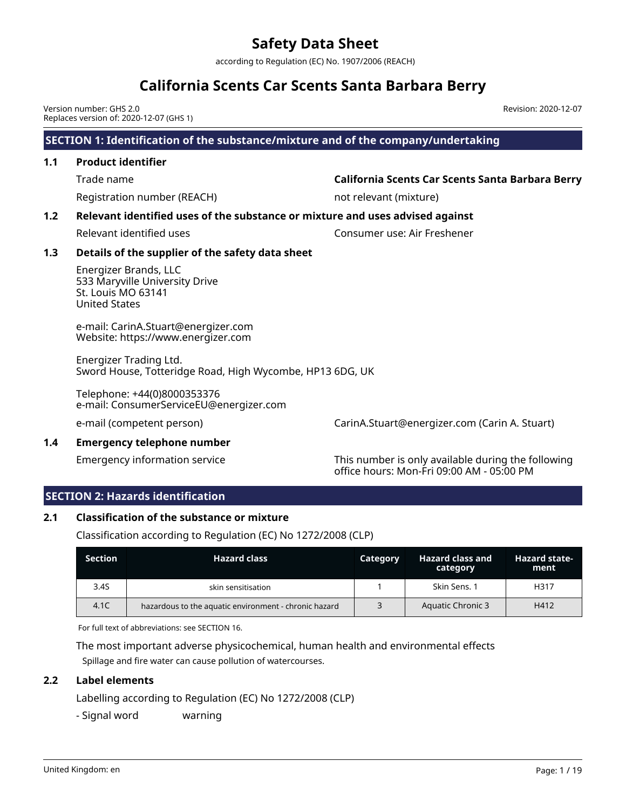according to Regulation (EC) No. 1907/2006 (REACH)

# **California Scents Car Scents Santa Barbara Berry**

Version number: GHS 2.0 Replaces version of: 2020-12-07 (GHS 1)

## **SECTION 1: Identification of the substance/mixture and of the company/undertaking**

## **1.1 Product identifier**

Trade name **California Scents Car Scents Santa Barbara Berry**

Revision: 2020-12-07

Registration number (REACH) not relevant (mixture)

### **1.2 Relevant identified uses of the substance or mixture and uses advised against**

Relevant identified uses Consumer use: Air Freshener

### **1.3 Details of the supplier of the safety data sheet**

Energizer Brands, LLC 533 Maryville University Drive St. Louis MO 63141 United States

e-mail: CarinA.Stuart@energizer.com Website: https://www.energizer.com

Energizer Trading Ltd. Sword House, Totteridge Road, High Wycombe, HP13 6DG, UK

Telephone: +44(0)8000353376 e-mail: ConsumerServiceEU@energizer.com

e-mail (competent person) CarinA.Stuart@energizer.com (Carin A. Stuart)

#### **1.4 Emergency telephone number**

Emergency information service This number is only available during the following office hours: Mon-Fri 09:00 AM - 05:00 PM

### **SECTION 2: Hazards identification**

### **2.1 Classification of the substance or mixture**

Classification according to Regulation (EC) No 1272/2008 (CLP)

| <b>Section</b> | <b>Hazard class</b>                                   | Category | Hazard class and<br>category | <b>Hazard state-</b><br>ment |
|----------------|-------------------------------------------------------|----------|------------------------------|------------------------------|
| 3.4S           | skin sensitisation                                    |          | Skin Sens. 1                 | H317                         |
| 4.1C           | hazardous to the aquatic environment - chronic hazard |          | <b>Aquatic Chronic 3</b>     | H412                         |

For full text of abbreviations: see SECTION 16.

The most important adverse physicochemical, human health and environmental effects Spillage and fire water can cause pollution of watercourses.

### **2.2 Label elements**

Labelling according to Regulation (EC) No 1272/2008 (CLP)

- Signal word warning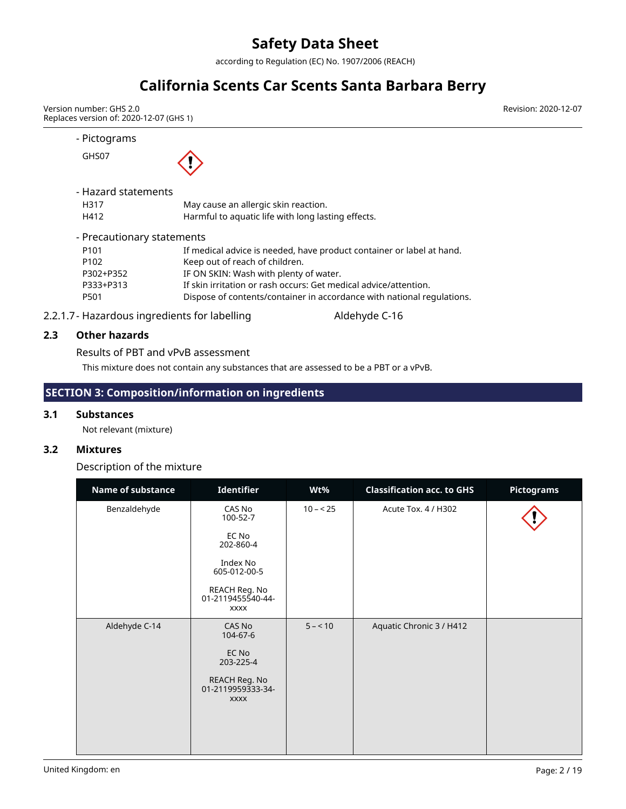according to Regulation (EC) No. 1907/2006 (REACH)

# **California Scents Car Scents Santa Barbara Berry**

Version number: GHS 2.0 Replaces version of: 2020-12-07 (GHS 1) Revision: 2020-12-07

- Pictograms GHS07 - Hazard statements

| H317                       | May cause an allergic skin reaction.                                   |
|----------------------------|------------------------------------------------------------------------|
| H412                       | Harmful to aquatic life with long lasting effects.                     |
|                            |                                                                        |
| - Precautionary statements |                                                                        |
| P <sub>101</sub>           | If medical advice is needed, have product container or label at hand.  |
| P <sub>102</sub>           | Keep out of reach of children.                                         |
| P302+P352                  | IF ON SKIN: Wash with plenty of water.                                 |
| P333+P313                  | If skin irritation or rash occurs: Get medical advice/attention.       |
| P501                       | Dispose of contents/container in accordance with national regulations. |

2.2.1.7- Hazardous ingredients for labelling Match Aldehyde C-16

### **2.3 Other hazards**

Results of PBT and vPvB assessment

This mixture does not contain any substances that are assessed to be a PBT or a vPvB.

## **SECTION 3: Composition/information on ingredients**

#### **3.1 Substances**

Not relevant (mixture)

### **3.2 Mixtures**

Description of the mixture

| Name of substance | Identifier                                        | Wt%       | <b>Classification acc. to GHS</b> | <b>Pictograms</b> |
|-------------------|---------------------------------------------------|-----------|-----------------------------------|-------------------|
| Benzaldehyde      | CAS No<br>100-52-7                                | $10 - 25$ | Acute Tox. 4 / H302               |                   |
|                   | EC No<br>202-860-4                                |           |                                   |                   |
|                   | Index No<br>605-012-00-5                          |           |                                   |                   |
|                   | REACH Reg. No<br>01-2119455540-44-<br><b>XXXX</b> |           |                                   |                   |
| Aldehyde C-14     | CAS No<br>104-67-6                                | $5 - 10$  | Aquatic Chronic 3 / H412          |                   |
|                   | EC No<br>203-225-4                                |           |                                   |                   |
|                   | REACH Reg. No<br>01-2119959333-34-<br><b>XXXX</b> |           |                                   |                   |
|                   |                                                   |           |                                   |                   |
|                   |                                                   |           |                                   |                   |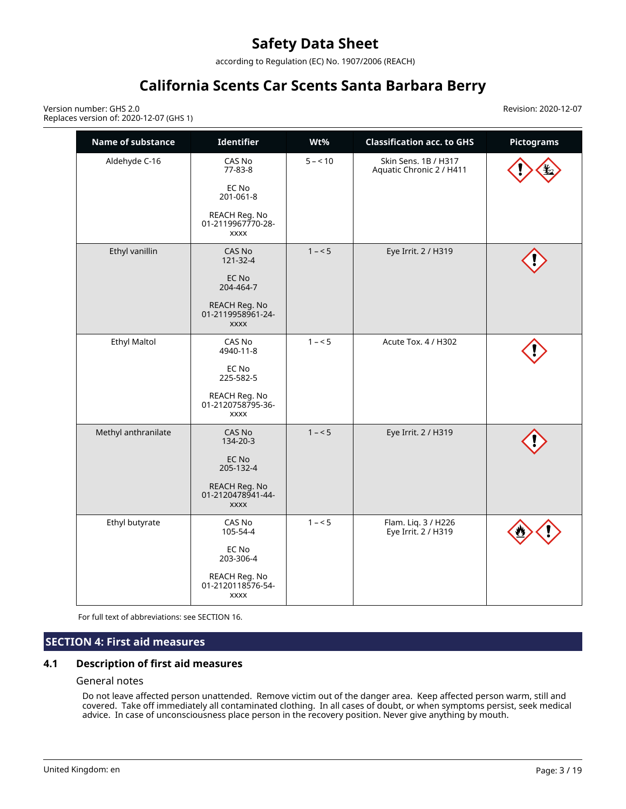according to Regulation (EC) No. 1907/2006 (REACH)

# **California Scents Car Scents Santa Barbara Berry**

Version number: GHS 2.0 Replaces version of: 2020-12-07 (GHS 1) Revision: 2020-12-07

| Name of substance   | <b>Identifier</b>                                 | Wt%      | <b>Classification acc. to GHS</b>                | <b>Pictograms</b> |
|---------------------|---------------------------------------------------|----------|--------------------------------------------------|-------------------|
| Aldehyde C-16       | CAS No<br>77-83-8                                 | $5 - 10$ | Skin Sens, 1B / H317<br>Aquatic Chronic 2 / H411 |                   |
|                     | EC No<br>201-061-8                                |          |                                                  |                   |
|                     | REACH Reg. No<br>01-2119967770-28-<br><b>XXXX</b> |          |                                                  |                   |
| Ethyl vanillin      | CAS No<br>121-32-4                                | $1 - 5$  | Eye Irrit. 2 / H319                              |                   |
|                     | EC No<br>204-464-7                                |          |                                                  |                   |
|                     | REACH Reg. No<br>01-2119958961-24-<br><b>XXXX</b> |          |                                                  |                   |
| <b>Ethyl Maltol</b> | CAS No<br>4940-11-8                               | $1 - 5$  | Acute Tox. 4 / H302                              |                   |
|                     | EC No<br>225-582-5                                |          |                                                  |                   |
|                     | REACH Reg. No<br>01-2120758795-36-<br><b>XXXX</b> |          |                                                  |                   |
| Methyl anthranilate | CAS No<br>134-20-3                                | $1 - 5$  | Eye Irrit. 2 / H319                              |                   |
|                     | EC No<br>205-132-4                                |          |                                                  |                   |
|                     | REACH Reg. No<br>01-2120478941-44-<br><b>XXXX</b> |          |                                                  |                   |
| Ethyl butyrate      | CAS No<br>105-54-4                                | $1 - 5$  | Flam. Liq. 3 / H226<br>Eye Irrit. 2 / H319       |                   |
|                     | EC No<br>203-306-4                                |          |                                                  |                   |
|                     | REACH Reg. No<br>01-2120118576-54-<br><b>XXXX</b> |          |                                                  |                   |

For full text of abbreviations: see SECTION 16.

### **SECTION 4: First aid measures**

### **4.1 Description of first aid measures**

#### General notes

Do not leave affected person unattended. Remove victim out of the danger area. Keep affected person warm, still and covered. Take off immediately all contaminated clothing. In all cases of doubt, or when symptoms persist, seek medical advice. In case of unconsciousness place person in the recovery position. Never give anything by mouth.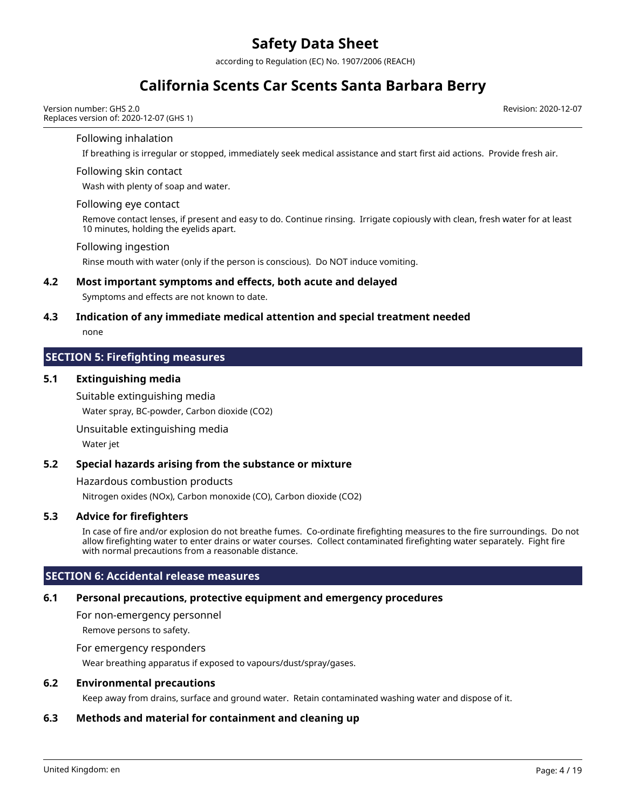according to Regulation (EC) No. 1907/2006 (REACH)

# **California Scents Car Scents Santa Barbara Berry**

Version number: GHS 2.0 Replaces version of: 2020-12-07 (GHS 1) Revision: 2020-12-07

#### Following inhalation

If breathing is irregular or stopped, immediately seek medical assistance and start first aid actions. Provide fresh air.

#### Following skin contact

Wash with plenty of soap and water.

#### Following eye contact

Remove contact lenses, if present and easy to do. Continue rinsing. Irrigate copiously with clean, fresh water for at least 10 minutes, holding the eyelids apart.

#### Following ingestion

Rinse mouth with water (only if the person is conscious). Do NOT induce vomiting.

#### **4.2 Most important symptoms and effects, both acute and delayed**

Symptoms and effects are not known to date.

#### **4.3 Indication of any immediate medical attention and special treatment needed**

none

#### **SECTION 5: Firefighting measures**

#### **5.1 Extinguishing media**

Suitable extinguishing media

Water spray, BC-powder, Carbon dioxide (CO2)

Unsuitable extinguishing media

Water jet

#### **5.2 Special hazards arising from the substance or mixture**

Hazardous combustion products

Nitrogen oxides (NOx), Carbon monoxide (CO), Carbon dioxide (CO2)

### **5.3 Advice for firefighters**

In case of fire and/or explosion do not breathe fumes. Co-ordinate firefighting measures to the fire surroundings. Do not allow firefighting water to enter drains or water courses. Collect contaminated firefighting water separately. Fight fire with normal precautions from a reasonable distance.

### **SECTION 6: Accidental release measures**

## **6.1 Personal precautions, protective equipment and emergency procedures**

For non-emergency personnel

Remove persons to safety.

### For emergency responders

Wear breathing apparatus if exposed to vapours/dust/spray/gases.

### **6.2 Environmental precautions**

Keep away from drains, surface and ground water. Retain contaminated washing water and dispose of it.

## **6.3 Methods and material for containment and cleaning up**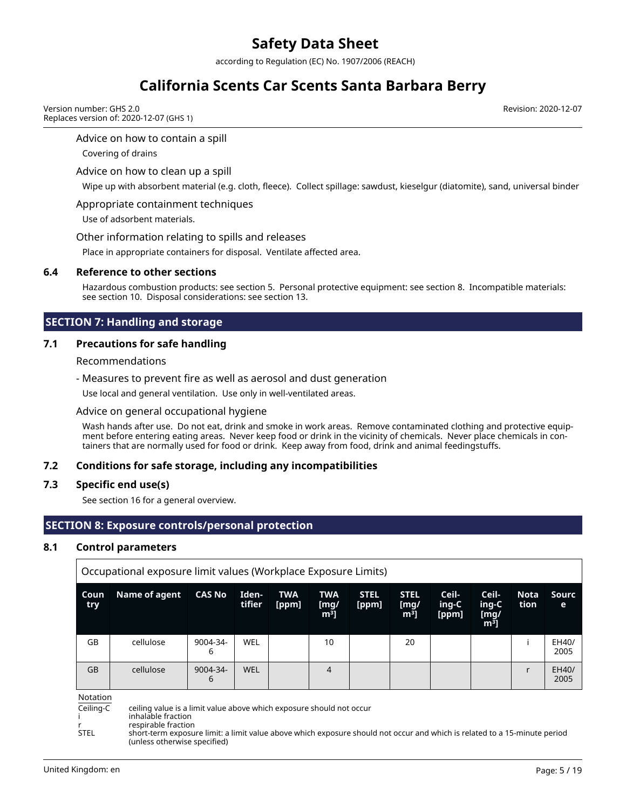according to Regulation (EC) No. 1907/2006 (REACH)

# **California Scents Car Scents Santa Barbara Berry**

Version number: GHS 2.0 Replaces version of: 2020-12-07 (GHS 1) Revision: 2020-12-07

#### Advice on how to contain a spill

Covering of drains

#### Advice on how to clean up a spill

Wipe up with absorbent material (e.g. cloth, fleece). Collect spillage: sawdust, kieselgur (diatomite), sand, universal binder

#### Appropriate containment techniques

Use of adsorbent materials.

#### Other information relating to spills and releases

Place in appropriate containers for disposal. Ventilate affected area.

#### **6.4 Reference to other sections**

Hazardous combustion products: see section 5. Personal protective equipment: see section 8. Incompatible materials: see section 10. Disposal considerations: see section 13.

### **SECTION 7: Handling and storage**

### **7.1 Precautions for safe handling**

#### Recommendations

- Measures to prevent fire as well as aerosol and dust generation

Use local and general ventilation. Use only in well-ventilated areas.

#### Advice on general occupational hygiene

Wash hands after use. Do not eat, drink and smoke in work areas. Remove contaminated clothing and protective equipment before entering eating areas. Never keep food or drink in the vicinity of chemicals. Never place chemicals in containers that are normally used for food or drink. Keep away from food, drink and animal feedingstuffs.

#### **7.2 Conditions for safe storage, including any incompatibilities**

#### **7.3 Specific end use(s)**

See section 16 for a general overview.

### **SECTION 8: Exposure controls/personal protection**

#### **8.1 Control parameters**

|              | Occupational exposure limit values (Workplace Exposure Limits) |                    |                 |                     |                                      |                      |                                       |                         |                                          |                     |               |
|--------------|----------------------------------------------------------------|--------------------|-----------------|---------------------|--------------------------------------|----------------------|---------------------------------------|-------------------------|------------------------------------------|---------------------|---------------|
| Coun<br>try. | Name of agent                                                  | <b>CAS No</b>      | Iden-<br>tifier | <b>TWA</b><br>[ppm] | <b>TWA</b><br>[mg/<br>m <sup>3</sup> | <b>STEL</b><br>[ppm] | <b>STEL</b><br>[mg/<br>m <sup>3</sup> | Ceil-<br>ing-C<br>[ppm] | Ceil-<br>ing-C<br>[mg/<br>m <sup>3</sup> | <b>Nota</b><br>tion | Sourc<br>е    |
| GB           | cellulose                                                      | 9004-34-<br>6      | WEL             |                     | 10                                   |                      | 20                                    |                         |                                          |                     | EH40/<br>2005 |
| GB           | cellulose                                                      | $9004 - 34 -$<br>6 | WEL             |                     | 4                                    |                      |                                       |                         |                                          |                     | EH40/<br>2005 |

Notation<br>Ceiling-C

ceiling value is a limit value above which exposure should not occur

inhalable fraction

r respirable fraction

short-term exposure limit: a limit value above which exposure should not occur and which is related to a 15-minute period (unless otherwise specified)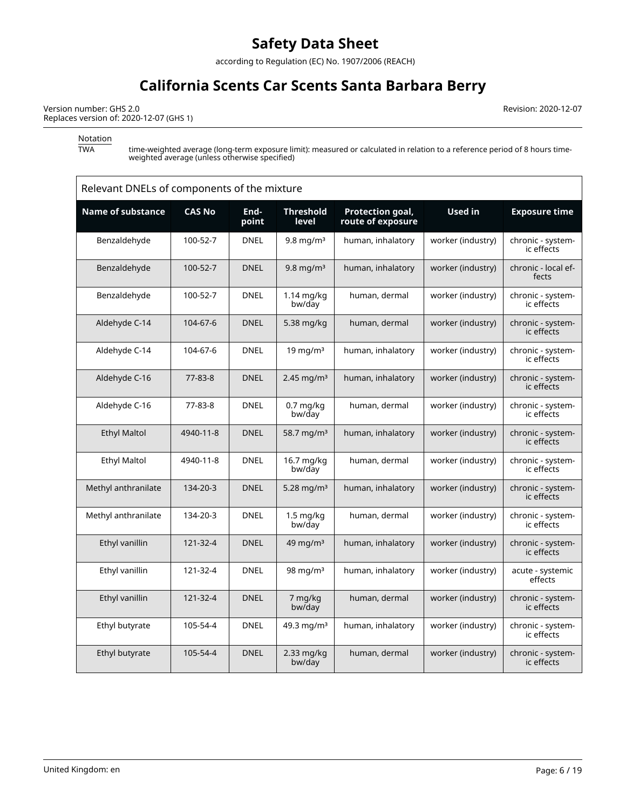according to Regulation (EC) No. 1907/2006 (REACH)

# **California Scents Car Scents Santa Barbara Berry**

Version number: GHS 2.0 Replaces version of: 2020-12-07 (GHS 1) Revision: 2020-12-07

Notation<br>TWA

TWA time-weighted average (long-term exposure limit): measured or calculated in relation to a reference period of 8 hours timeweighted average (unless otherwise specified)

| Relevant DNELs of components of the mixture |               |               |                               |                                       |                   |                                 |  |
|---------------------------------------------|---------------|---------------|-------------------------------|---------------------------------------|-------------------|---------------------------------|--|
| <b>Name of substance</b>                    | <b>CAS No</b> | End-<br>point | <b>Threshold</b><br>level     | Protection goal,<br>route of exposure | <b>Used in</b>    | <b>Exposure time</b>            |  |
| Benzaldehyde                                | 100-52-7      | <b>DNEL</b>   | $9.8 \text{ mg/m}^3$          | human, inhalatory                     | worker (industry) | chronic - system-<br>ic effects |  |
| Benzaldehyde                                | 100-52-7      | <b>DNEL</b>   | $9.8 \,\mathrm{mg/m^3}$       | human, inhalatory                     | worker (industry) | chronic - local ef-<br>fects    |  |
| Benzaldehyde                                | 100-52-7      | <b>DNEL</b>   | $1.14$ mg/kg<br>bw/day        | human, dermal                         | worker (industry) | chronic - system-<br>ic effects |  |
| Aldehyde C-14                               | 104-67-6      | <b>DNEL</b>   | 5.38 mg/kg                    | human, dermal                         | worker (industry) | chronic - system-<br>ic effects |  |
| Aldehyde C-14                               | 104-67-6      | <b>DNEL</b>   | $19 \text{ mg/m}^3$           | human, inhalatory                     | worker (industry) | chronic - system-<br>ic effects |  |
| Aldehyde C-16                               | 77-83-8       | <b>DNEL</b>   | 2.45 mg/m <sup>3</sup>        | human, inhalatory                     | worker (industry) | chronic - system-<br>ic effects |  |
| Aldehyde C-16                               | 77-83-8       | <b>DNEL</b>   | $0.7$ mg/kg<br>bw/day         | human, dermal                         | worker (industry) | chronic - system-<br>ic effects |  |
| <b>Ethyl Maltol</b>                         | 4940-11-8     | <b>DNEL</b>   | 58.7 mg/m <sup>3</sup>        | human, inhalatory                     | worker (industry) | chronic - system-<br>ic effects |  |
| <b>Ethyl Maltol</b>                         | 4940-11-8     | <b>DNEL</b>   | 16.7 mg/kg<br>bw/day          | human, dermal                         | worker (industry) | chronic - system-<br>ic effects |  |
| Methyl anthranilate                         | 134-20-3      | <b>DNEL</b>   | 5.28 mg/m <sup>3</sup>        | human, inhalatory                     | worker (industry) | chronic - system-<br>ic effects |  |
| Methyl anthranilate                         | 134-20-3      | <b>DNEL</b>   | $1.5 \text{ mg/kg}$<br>bw/day | human, dermal                         | worker (industry) | chronic - system-<br>ic effects |  |
| Ethyl vanillin                              | 121-32-4      | <b>DNEL</b>   | $49 \text{ mg/m}^3$           | human, inhalatory                     | worker (industry) | chronic - system-<br>ic effects |  |
| Ethyl vanillin                              | 121-32-4      | <b>DNEL</b>   | 98 mg/m $3$                   | human, inhalatory                     | worker (industry) | acute - systemic<br>effects     |  |
| Ethyl vanillin                              | 121-32-4      | <b>DNEL</b>   | 7 mg/kg<br>bw/day             | human, dermal                         | worker (industry) | chronic - system-<br>ic effects |  |
| Ethyl butyrate                              | 105-54-4      | <b>DNEL</b>   | 49.3 mg/m <sup>3</sup>        | human, inhalatory                     | worker (industry) | chronic - system-<br>ic effects |  |
| Ethyl butyrate                              | 105-54-4      | <b>DNEL</b>   | 2.33 mg/kg<br>bw/day          | human, dermal                         | worker (industry) | chronic - system-<br>ic effects |  |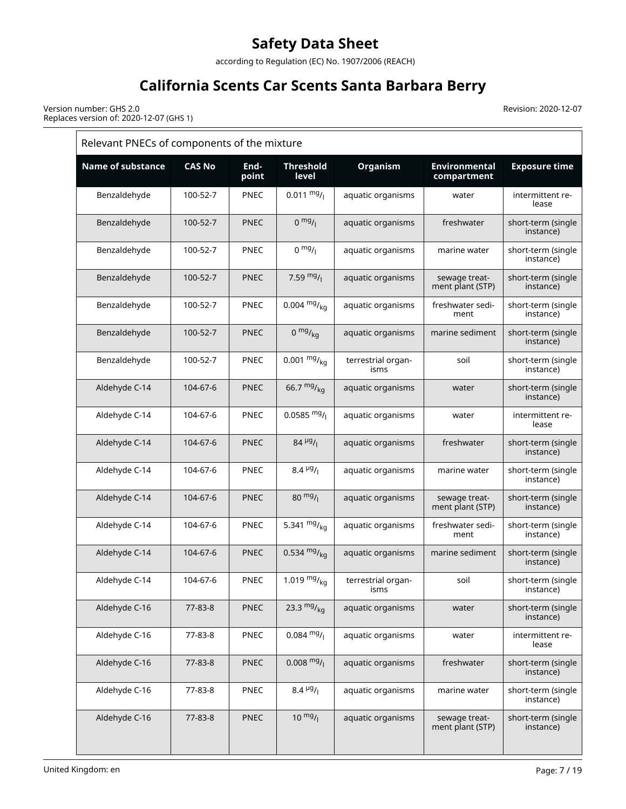according to Regulation (EC) No. 1907/2006 (REACH)

# **California Scents Car Scents Santa Barbara Berry**

Revision: 2020-12-07

Version number: GHS 2.0 Replaces version of: 2020-12-07 (GHS 1)

|                          | Relevant PNECs of components of the mixture |               |                           |                            |                                     |                                 |  |  |
|--------------------------|---------------------------------------------|---------------|---------------------------|----------------------------|-------------------------------------|---------------------------------|--|--|
| <b>Name of substance</b> | <b>CAS No</b>                               | End-<br>point | <b>Threshold</b><br>level | Organism                   | <b>Environmental</b><br>compartment | <b>Exposure time</b>            |  |  |
| Benzaldehyde             | 100-52-7                                    | PNEC          | $0.011 \frac{mg}{l}$      | aquatic organisms          | water                               | intermittent re-<br>lease       |  |  |
| Benzaldehyde             | 100-52-7                                    | <b>PNEC</b>   | $0 \frac{mg}{l}$          | aquatic organisms          | freshwater                          | short-term (single<br>instance) |  |  |
| Benzaldehyde             | 100-52-7                                    | <b>PNEC</b>   | $0 \frac{mg}{l}$          | aquatic organisms          | marine water                        | short-term (single<br>instance) |  |  |
| Benzaldehyde             | 100-52-7                                    | <b>PNEC</b>   | 7.59 $mg/$                | aquatic organisms          | sewage treat-<br>ment plant (STP)   | short-term (single<br>instance) |  |  |
| Benzaldehyde             | 100-52-7                                    | <b>PNEC</b>   | $0.004 \frac{mg}{ka}$     | aquatic organisms          | freshwater sedi-<br>ment            | short-term (single<br>instance) |  |  |
| Benzaldehyde             | 100-52-7                                    | <b>PNEC</b>   | $0 \frac{mg}{kg}$         | aquatic organisms          | marine sediment                     | short-term (single<br>instance) |  |  |
| Benzaldehyde             | 100-52-7                                    | PNEC          | $0.001 \frac{mg}{kg}$     | terrestrial organ-<br>isms | soil                                | short-term (single<br>instance) |  |  |
| Aldehyde C-14            | 104-67-6                                    | <b>PNEC</b>   | 66.7 $mg/kq$              | aquatic organisms          | water                               | short-term (single<br>instance) |  |  |
| Aldehyde C-14            | 104-67-6                                    | <b>PNEC</b>   | $0.0585 \frac{mg}{l}$     | aquatic organisms          | water                               | intermittent re-<br>lease       |  |  |
| Aldehyde C-14            | 104-67-6                                    | <b>PNEC</b>   | $84 \frac{\mu g}{I}$      | aquatic organisms          | freshwater                          | short-term (single<br>instance) |  |  |
| Aldehyde C-14            | 104-67-6                                    | PNEC          | $8.4 \frac{\mu g}{I}$     | aquatic organisms          | marine water                        | short-term (single<br>instance) |  |  |
| Aldehyde C-14            | 104-67-6                                    | <b>PNEC</b>   | $80 \frac{mg}{l}$         | aquatic organisms          | sewage treat-<br>ment plant (STP)   | short-term (single<br>instance) |  |  |
| Aldehyde C-14            | 104-67-6                                    | PNEC          | 5.341 $mg/kq$             | aquatic organisms          | freshwater sedi-<br>ment            | short-term (single<br>instance) |  |  |
| Aldehyde C-14            | 104-67-6                                    | <b>PNEC</b>   | 0.534 $mg/kq$             | aquatic organisms          | marine sediment                     | short-term (single<br>instance) |  |  |
| Aldehyde C-14            | 104-67-6                                    | PNEC          | 1.019 $mg{mg}}_{kg}$      | terrestrial organ-<br>isms | soil                                | short-term (single<br>instance) |  |  |
| Aldehyde C-16            | 77-83-8                                     | <b>PNEC</b>   | 23.3 $mg/kq$              | aquatic organisms          | water                               | short-term (single<br>instance) |  |  |
| Aldehyde C-16            | 77-83-8                                     | PNEC          | $0.084 \frac{mg}{l}$      | aquatic organisms          | water                               | intermittent re-<br>lease       |  |  |
| Aldehyde C-16            | 77-83-8                                     | <b>PNEC</b>   | $0.008 \text{ mg}$ /      | aquatic organisms          | freshwater                          | short-term (single<br>instance) |  |  |
| Aldehyde C-16            | 77-83-8                                     | PNEC          | $8.4 \frac{\mu g}{I}$     | aquatic organisms          | marine water                        | short-term (single<br>instance) |  |  |
| Aldehyde C-16            | 77-83-8                                     | <b>PNEC</b>   | $10 \frac{mg}{l}$         | aquatic organisms          | sewage treat-<br>ment plant (STP)   | short-term (single<br>instance) |  |  |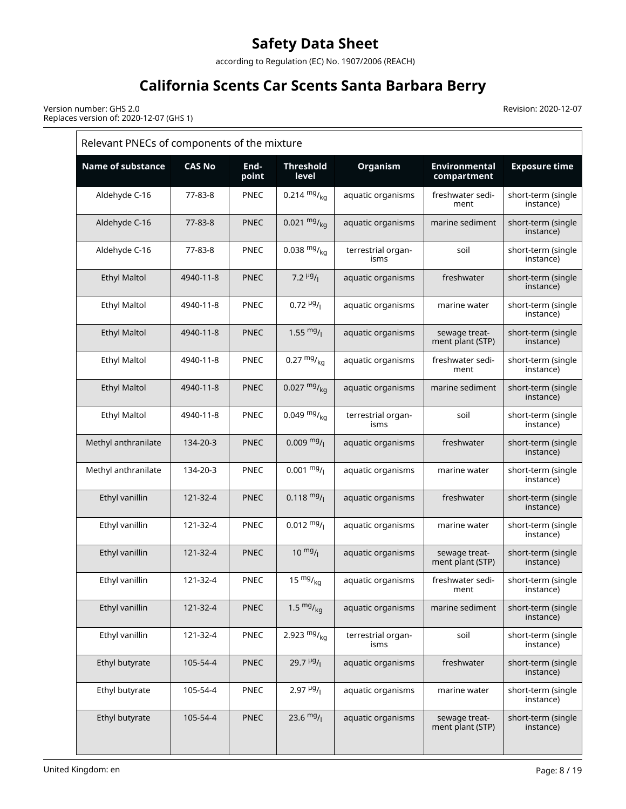according to Regulation (EC) No. 1907/2006 (REACH)

# **California Scents Car Scents Santa Barbara Berry**

Revision: 2020-12-07

Version number: GHS 2.0 Replaces version of: 2020-12-07 (GHS 1)

| Relevant PNECs of components of the mixture |               |               |                                       |                            |                                     |                                 |  |
|---------------------------------------------|---------------|---------------|---------------------------------------|----------------------------|-------------------------------------|---------------------------------|--|
| <b>Name of substance</b>                    | <b>CAS No</b> | End-<br>point | <b>Threshold</b><br>level             | Organism                   | <b>Environmental</b><br>compartment | <b>Exposure time</b>            |  |
| Aldehyde C-16                               | 77-83-8       | <b>PNEC</b>   | 0.214 $mg/kq$                         | aquatic organisms          | freshwater sedi-<br>ment            | short-term (single<br>instance) |  |
| Aldehyde C-16                               | $77 - 83 - 8$ | <b>PNEC</b>   | 0.021 $mg/kq$                         | aquatic organisms          | marine sediment                     | short-term (single<br>instance) |  |
| Aldehyde C-16                               | 77-83-8       | <b>PNEC</b>   | $0.038 \frac{mg}{kg}$                 | terrestrial organ-<br>isms | soil                                | short-term (single<br>instance) |  |
| <b>Ethyl Maltol</b>                         | 4940-11-8     | <b>PNEC</b>   | 7.2 $\mu$ <sup>g</sup> / <sub>1</sub> | aquatic organisms          | freshwater                          | short-term (single<br>instance) |  |
| <b>Ethyl Maltol</b>                         | 4940-11-8     | PNEC          | $0.72 \frac{\mu g}{I}$                | aquatic organisms          | marine water                        | short-term (single<br>instance) |  |
| <b>Ethyl Maltol</b>                         | 4940-11-8     | <b>PNEC</b>   | $1.55 \frac{mg}{l}$                   | aquatic organisms          | sewage treat-<br>ment plant (STP)   | short-term (single<br>instance) |  |
| <b>Ethyl Maltol</b>                         | 4940-11-8     | PNEC          | $0.27 \frac{mg}{kg}$                  | aquatic organisms          | freshwater sedi-<br>ment            | short-term (single<br>instance) |  |
| <b>Ethyl Maltol</b>                         | 4940-11-8     | <b>PNEC</b>   | $0.027 \frac{mg}{kg}$                 | aquatic organisms          | marine sediment                     | short-term (single<br>instance) |  |
| <b>Ethyl Maltol</b>                         | 4940-11-8     | PNEC          | $0.049 \frac{mg}{kg}$                 | terrestrial organ-<br>isms | soil                                | short-term (single<br>instance) |  |
| Methyl anthranilate                         | 134-20-3      | <b>PNEC</b>   | $0.009 \frac{mg}{l}$                  | aquatic organisms          | freshwater                          | short-term (single<br>instance) |  |
| Methyl anthranilate                         | 134-20-3      | <b>PNEC</b>   | $0.001 \frac{mg}{l}$                  | aquatic organisms          | marine water                        | short-term (single<br>instance) |  |
| Ethyl vanillin                              | 121-32-4      | <b>PNEC</b>   | $0.118 \frac{mg}{l}$                  | aquatic organisms          | freshwater                          | short-term (single<br>instance) |  |
| Ethyl vanillin                              | 121-32-4      | PNEC          | $0.012 \frac{mg}{l}$                  | aquatic organisms          | marine water                        | short-term (single<br>instance) |  |
| Ethyl vanillin                              | 121-32-4      | <b>PNEC</b>   | $10^{mg}$ /                           | aquatic organisms          | sewage treat-<br>ment plant (STP)   | short-term (single<br>instance) |  |
| Ethyl vanillin                              | 121-32-4      | PNEC          | $15 \frac{mg}{kg}$                    | aquatic organisms          | freshwater sedi-<br>ment            | short-term (single<br>instance) |  |
| Ethyl vanillin                              | 121-32-4      | <b>PNEC</b>   | 1.5 $mg/kq$                           | aquatic organisms          | marine sediment                     | short-term (single<br>instance) |  |
| Ethyl vanillin                              | 121-32-4      | <b>PNEC</b>   | 2.923 $mg/kq$                         | terrestrial organ-<br>isms | soil                                | short-term (single<br>instance) |  |
| Ethyl butyrate                              | 105-54-4      | <b>PNEC</b>   | $29.7 \frac{\mu g}{I}$                | aquatic organisms          | freshwater                          | short-term (single<br>instance) |  |
| Ethyl butyrate                              | 105-54-4      | <b>PNEC</b>   | $2.97~\frac{\mu g}{I}$                | aquatic organisms          | marine water                        | short-term (single<br>instance) |  |
| Ethyl butyrate                              | 105-54-4      | <b>PNEC</b>   | 23.6 $mg/$                            | aquatic organisms          | sewage treat-<br>ment plant (STP)   | short-term (single<br>instance) |  |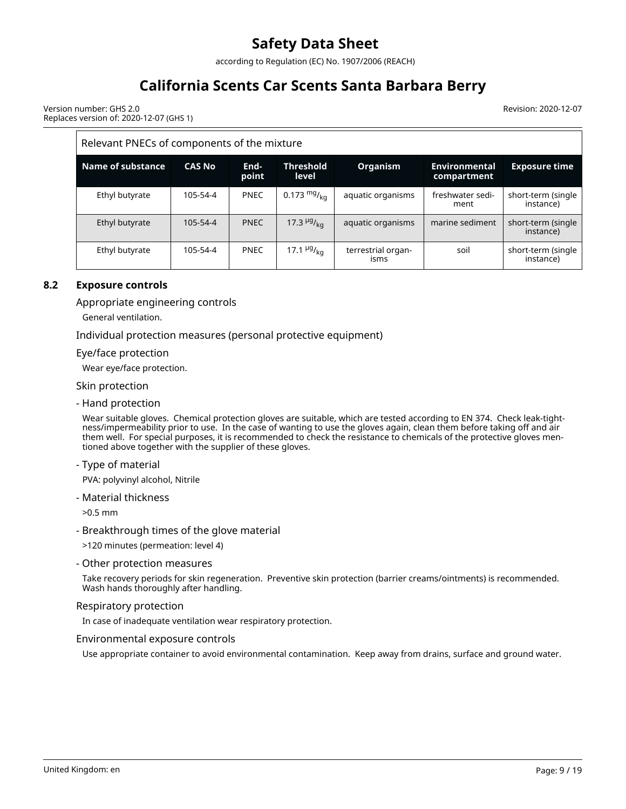according to Regulation (EC) No. 1907/2006 (REACH)

# **California Scents Car Scents Santa Barbara Berry**

Revision: 2020-12-07

Version number: GHS 2.0 Replaces version of: 2020-12-07 (GHS 1)

#### Relevant PNECs of components of the mixture **Name of substance CAS No Endpoint Threshold level Organism Environmental compartment Exposure time** Ethyl butyrate  $\begin{vmatrix} 105-54-4 \end{vmatrix}$  PNEC  $\begin{vmatrix} 0.173 \text{ mg/} \\ 0.173 \text{ mg/} \\ \text{a} \end{vmatrix}$  aquatic organisms  $\begin{vmatrix} 1 \text{ freshwater sedi} \\ 1 \text{ g/mol} \end{vmatrix}$ ment short-term (single instance) Ethyl butyrate 105-54-4 PNEC 17.3  $^{19}$ /<sub>kg</sub> aquatic organisms marine sediment short-term (single instance) Ethyl butyrate  $\begin{vmatrix} 105-54-4 \end{vmatrix}$  PNEC  $\begin{vmatrix} 17.1 \end{vmatrix}$  and  $\begin{vmatrix} 1 \end{vmatrix}$  terrestrial organisms soil short-term (single instance)

### **8.2 Exposure controls**

Appropriate engineering controls

General ventilation.

Individual protection measures (personal protective equipment)

Eye/face protection

Wear eye/face protection.

Skin protection

- Hand protection

Wear suitable gloves. Chemical protection gloves are suitable, which are tested according to EN 374. Check leak-tightness/impermeability prior to use. In the case of wanting to use the gloves again, clean them before taking off and air them well. For special purposes, it is recommended to check the resistance to chemicals of the protective gloves mentioned above together with the supplier of these gloves.

- Type of material

PVA: polyvinyl alcohol, Nitrile

- Material thickness

>0.5 mm

- Breakthrough times of the glove material

>120 minutes (permeation: level 4)

- Other protection measures

Take recovery periods for skin regeneration. Preventive skin protection (barrier creams/ointments) is recommended. Wash hands thoroughly after handling.

#### Respiratory protection

In case of inadequate ventilation wear respiratory protection.

#### Environmental exposure controls

Use appropriate container to avoid environmental contamination. Keep away from drains, surface and ground water.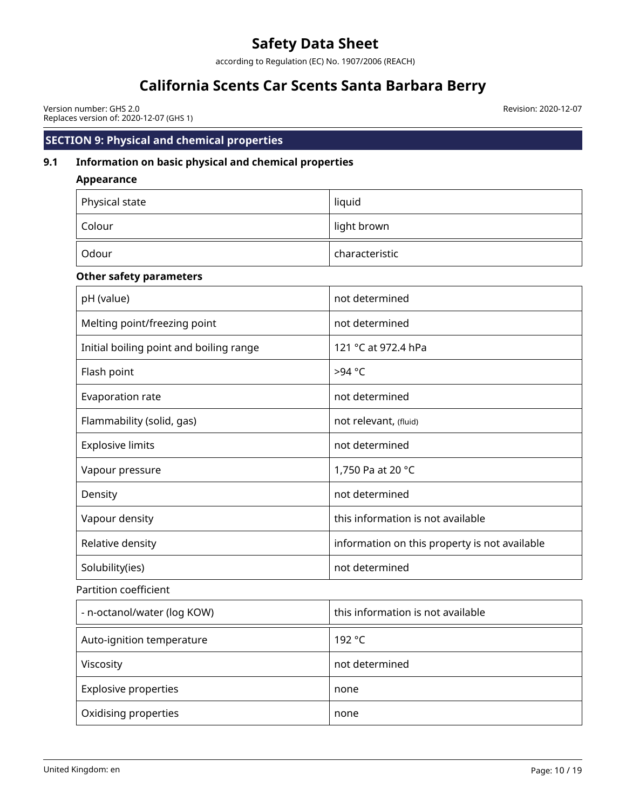according to Regulation (EC) No. 1907/2006 (REACH)

# **California Scents Car Scents Santa Barbara Berry**

Version number: GHS 2.0 Replaces version of: 2020-12-07 (GHS 1) Revision: 2020-12-07

## **SECTION 9: Physical and chemical properties**

# **9.1 Information on basic physical and chemical properties**

**Appearance**

| Physical state                          | liquid                                        |
|-----------------------------------------|-----------------------------------------------|
| Colour                                  | light brown                                   |
| Odour                                   | characteristic                                |
| <b>Other safety parameters</b>          |                                               |
| pH (value)                              | not determined                                |
| Melting point/freezing point            | not determined                                |
| Initial boiling point and boiling range | 121 °C at 972.4 hPa                           |
| Flash point                             | >94 °C                                        |
| Evaporation rate                        | not determined                                |
| Flammability (solid, gas)               | not relevant, (fluid)                         |
| <b>Explosive limits</b>                 | not determined                                |
| Vapour pressure                         | 1,750 Pa at 20 °C                             |
| Density                                 | not determined                                |
| Vapour density                          | this information is not available             |
| Relative density                        | information on this property is not available |
| Solubility(ies)                         | not determined                                |
| Partition coefficient                   |                                               |
| - n-octanol/water (log KOW)             | this information is not available             |
| Auto-ignition temperature               | 192 °C                                        |
| Viscosity                               | not determined                                |
| <b>Explosive properties</b>             | none                                          |
| Oxidising properties                    | none                                          |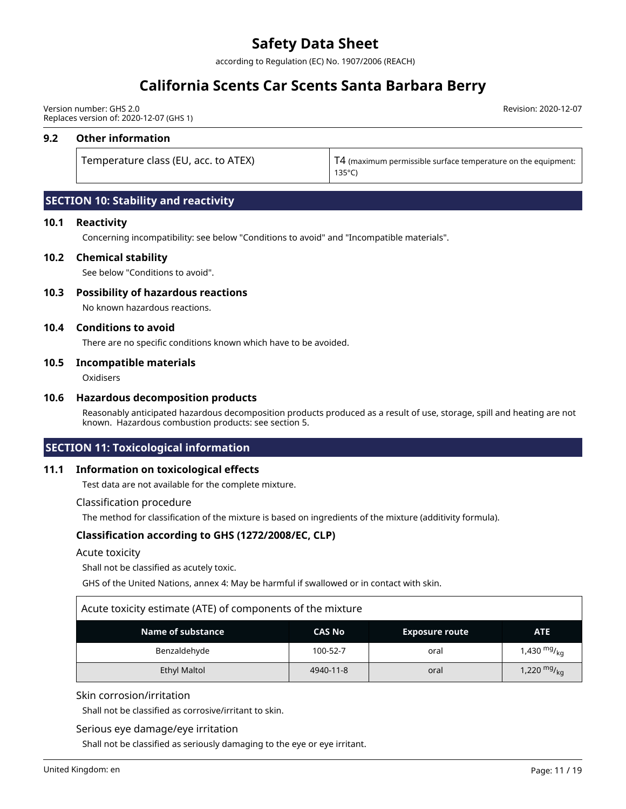according to Regulation (EC) No. 1907/2006 (REACH)

# **California Scents Car Scents Santa Barbara Berry**

Version number: GHS 2.0 Replaces version of: 2020-12-07 (GHS 1)

#### **9.2 Other information**

Temperature class (EU, acc. to ATEX) T4 (maximum permissible surface temperature on the equipment: 135°C)

Revision: 2020-12-07

### **SECTION 10: Stability and reactivity**

#### **10.1 Reactivity**

Concerning incompatibility: see below "Conditions to avoid" and "Incompatible materials".

#### **10.2 Chemical stability**

See below "Conditions to avoid".

#### **10.3 Possibility of hazardous reactions**

No known hazardous reactions.

#### **10.4 Conditions to avoid**

There are no specific conditions known which have to be avoided.

#### **10.5 Incompatible materials**

**Oxidisers** 

#### **10.6 Hazardous decomposition products**

Reasonably anticipated hazardous decomposition products produced as a result of use, storage, spill and heating are not known. Hazardous combustion products: see section 5.

#### **SECTION 11: Toxicological information**

#### **11.1 Information on toxicological effects**

Test data are not available for the complete mixture.

#### Classification procedure

The method for classification of the mixture is based on ingredients of the mixture (additivity formula).

#### **Classification according to GHS (1272/2008/EC, CLP)**

#### Acute toxicity

Shall not be classified as acutely toxic.

GHS of the United Nations, annex 4: May be harmful if swallowed or in contact with skin.

# Acute toxicity estimate (ATE) of components of the mixture

| <b>Name of substance</b> | <b>CAS No</b> | <b>Exposure route</b> | <b>ATE</b>                          |
|--------------------------|---------------|-----------------------|-------------------------------------|
| Benzaldehyde             | 100-52-7      | oral                  | 1,430 <sup>mg</sup> / <sub>kg</sub> |
| Ethyl Maltol             | 4940-11-8     | oral                  | 1,220 $mg/kq$                       |

#### Skin corrosion/irritation

Shall not be classified as corrosive/irritant to skin.

#### Serious eye damage/eye irritation

Shall not be classified as seriously damaging to the eye or eye irritant.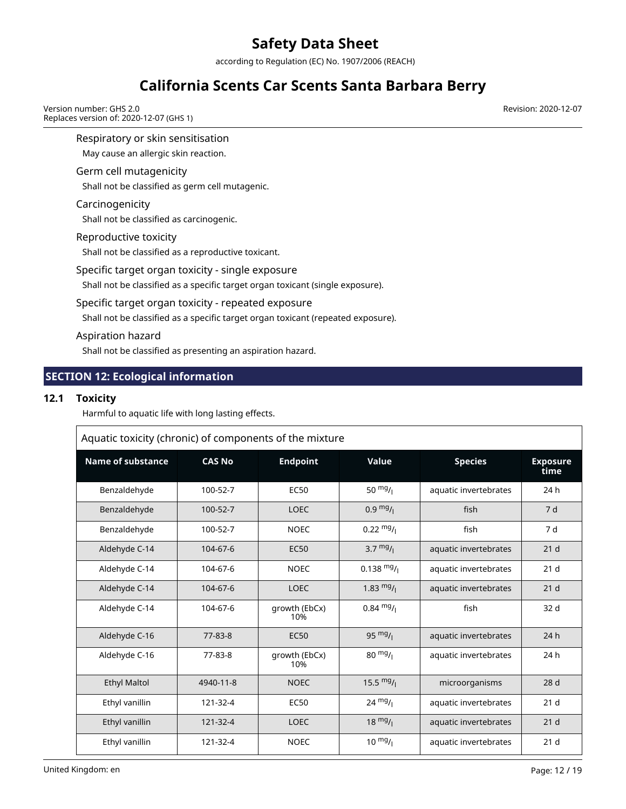according to Regulation (EC) No. 1907/2006 (REACH)

# **California Scents Car Scents Santa Barbara Berry**

Version number: GHS 2.0 Replaces version of: 2020-12-07 (GHS 1)

Respiratory or skin sensitisation

May cause an allergic skin reaction.

#### Germ cell mutagenicity

Shall not be classified as germ cell mutagenic.

#### Carcinogenicity

Shall not be classified as carcinogenic.

#### Reproductive toxicity

Shall not be classified as a reproductive toxicant.

### Specific target organ toxicity - single exposure

Shall not be classified as a specific target organ toxicant (single exposure).

### Specific target organ toxicity - repeated exposure

Shall not be classified as a specific target organ toxicant (repeated exposure).

#### Aspiration hazard

Shall not be classified as presenting an aspiration hazard.

## **SECTION 12: Ecological information**

### **12.1 Toxicity**

Harmful to aquatic life with long lasting effects.

| Aquatic toxicity (chronic) of components of the mixture |               |                      |                      |                       |                  |  |  |  |
|---------------------------------------------------------|---------------|----------------------|----------------------|-----------------------|------------------|--|--|--|
| <b>Name of substance</b>                                | <b>CAS No</b> | <b>Endpoint</b>      | Value                | <b>Species</b>        | Exposure<br>time |  |  |  |
| Benzaldehyde                                            | 100-52-7      | <b>EC50</b>          | 50 $mg/1$            | aquatic invertebrates | 24 h             |  |  |  |
| Benzaldehyde                                            | 100-52-7      | <b>LOEC</b>          | $0.9 \frac{mg}{l}$   | fish                  | 7 d              |  |  |  |
| Benzaldehyde                                            | 100-52-7      | <b>NOEC</b>          | $0.22 \frac{mg}{l}$  | fish                  | 7 d              |  |  |  |
| Aldehyde C-14                                           | 104-67-6      | <b>EC50</b>          | $3.7 \frac{mg}{l}$   | aquatic invertebrates | 21 <sub>d</sub>  |  |  |  |
| Aldehyde C-14                                           | 104-67-6      | <b>NOEC</b>          | $0.138 \frac{mg}{l}$ | aquatic invertebrates | 21 <sub>d</sub>  |  |  |  |
| Aldehyde C-14                                           | 104-67-6      | <b>LOEC</b>          | 1.83 $mg/$           | aquatic invertebrates | 21 <sub>d</sub>  |  |  |  |
| Aldehyde C-14                                           | 104-67-6      | growth (EbCx)<br>10% | $0.84 \frac{mg}{l}$  | fish                  | 32 d             |  |  |  |
| Aldehyde C-16                                           | 77-83-8       | <b>EC50</b>          | $95 \frac{mg}{l}$    | aquatic invertebrates | 24h              |  |  |  |
| Aldehyde C-16                                           | 77-83-8       | growth (EbCx)<br>10% | $80 \frac{mg}{l}$    | aquatic invertebrates | 24h              |  |  |  |
| <b>Ethyl Maltol</b>                                     | 4940-11-8     | <b>NOEC</b>          | 15.5 $mg/$           | microorganisms        | 28 <sub>d</sub>  |  |  |  |
| Ethyl vanillin                                          | 121-32-4      | <b>EC50</b>          | $24 \frac{mg}{l}$    | aquatic invertebrates | 21 <sub>d</sub>  |  |  |  |
| Ethyl vanillin                                          | 121-32-4      | <b>LOEC</b>          | $18 \frac{mg}{l}$    | aquatic invertebrates | 21 <sub>d</sub>  |  |  |  |
| Ethyl vanillin                                          | 121-32-4      | <b>NOEC</b>          | $10^{mg}$ /          | aquatic invertebrates | 21 <sub>d</sub>  |  |  |  |

Revision: 2020-12-07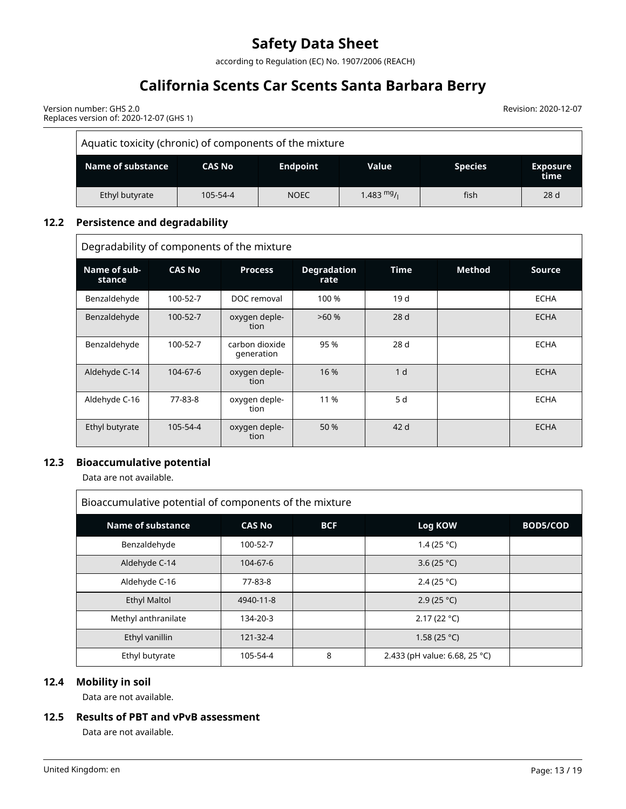according to Regulation (EC) No. 1907/2006 (REACH)

# **California Scents Car Scents Santa Barbara Berry**

Revision: 2020-12-07

Version number: GHS 2.0 Replaces version of: 2020-12-07 (GHS 1)

| Aquatic toxicity (chronic) of components of the mixture                                              |          |             |              |      |      |  |  |  |  |
|------------------------------------------------------------------------------------------------------|----------|-------------|--------------|------|------|--|--|--|--|
| Name of substance<br><b>Endpoint</b><br><b>Species</b><br>Value<br>CAS No<br><b>Exposure</b><br>time |          |             |              |      |      |  |  |  |  |
| Ethyl butyrate                                                                                       | 105-54-4 | <b>NOEC</b> | 1.483 $mg/1$ | fish | 28 d |  |  |  |  |

### **12.2 Persistence and degradability**

Degradability of components of the mixture

| Name of sub-<br>stance | <b>CAS No</b> | <b>Process</b>               | <b>Degradation</b><br>rate | <b>Time</b>     | Method | <b>Source</b> |
|------------------------|---------------|------------------------------|----------------------------|-----------------|--------|---------------|
| Benzaldehyde           | 100-52-7      | DOC removal                  | 100 %                      | 19d             |        | <b>ECHA</b>   |
| Benzaldehyde           | 100-52-7      | oxygen deple-<br>tion        | >60%                       | 28d             |        | <b>ECHA</b>   |
| Benzaldehyde           | 100-52-7      | carbon dioxide<br>generation | 95 %                       | 28 <sub>d</sub> |        | <b>ECHA</b>   |
| Aldehyde C-14          | 104-67-6      | oxygen deple-<br>tion        | 16 %                       | 1 <sub>d</sub>  |        | <b>ECHA</b>   |
| Aldehyde C-16          | 77-83-8       | oxygen deple-<br>tion        | 11 %                       | 5 d             |        | <b>ECHA</b>   |
| Ethyl butyrate         | 105-54-4      | oxygen deple-<br>tion        | 50 %                       | 42 d            |        | <b>ECHA</b>   |

### **12.3 Bioaccumulative potential**

Data are not available.

| Bioaccumulative potential of components of the mixture |               |            |                               |          |
|--------------------------------------------------------|---------------|------------|-------------------------------|----------|
| Name of substance                                      | <b>CAS No</b> | <b>BCF</b> | Log KOW                       | BOD5/COD |
| Benzaldehyde                                           | 100-52-7      |            | 1.4 (25 °C)                   |          |
| Aldehyde C-14                                          | 104-67-6      |            | 3.6 (25 $°C$ )                |          |
| Aldehyde C-16                                          | 77-83-8       |            | 2.4 (25 °C)                   |          |
| <b>Ethyl Maltol</b>                                    | 4940-11-8     |            | 2.9(25 °C)                    |          |
| Methyl anthranilate                                    | 134-20-3      |            | 2.17(22 °C)                   |          |
| Ethyl vanillin                                         | 121-32-4      |            | 1.58 (25 °C)                  |          |
| Ethyl butyrate                                         | 105-54-4      | 8          | 2.433 (pH value: 6.68, 25 °C) |          |

#### **12.4 Mobility in soil**

Data are not available.

### **12.5 Results of PBT and vPvB assessment**

Data are not available.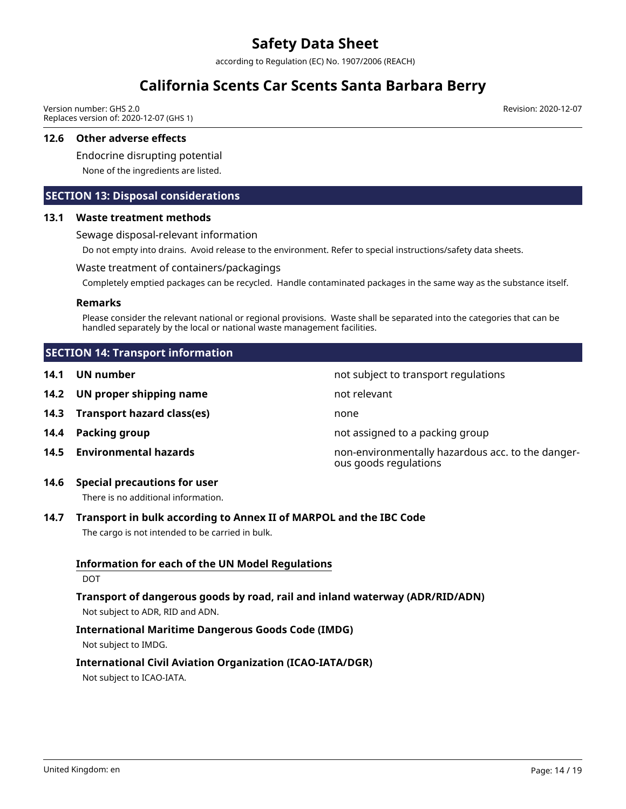according to Regulation (EC) No. 1907/2006 (REACH)

# **California Scents Car Scents Santa Barbara Berry**

Version number: GHS 2.0 Replaces version of: 2020-12-07 (GHS 1)

#### **12.6 Other adverse effects**

Endocrine disrupting potential

None of the ingredients are listed.

### **SECTION 13: Disposal considerations**

#### **13.1 Waste treatment methods**

Sewage disposal-relevant information

Do not empty into drains. Avoid release to the environment. Refer to special instructions/safety data sheets.

#### Waste treatment of containers/packagings

Completely emptied packages can be recycled. Handle contaminated packages in the same way as the substance itself.

#### **Remarks**

Please consider the relevant national or regional provisions. Waste shall be separated into the categories that can be handled separately by the local or national waste management facilities.

ous goods regulations

### **SECTION 14: Transport information**

- **14.1 UN number 12.1 UN** number
- **14.2 UN proper shipping name** not relevant
- **14.3 Transport hazard class(es)** none
- **14.4 Packing group 14.4 Packing group not assigned to a packing group**
- **14.5 Environmental hazards** non-environmentally hazardous acc. to the danger-

### **14.6 Special precautions for user**

There is no additional information.

## **14.7 Transport in bulk according to Annex II of MARPOL and the IBC Code**

The cargo is not intended to be carried in bulk.

## **Information for each of the UN Model Regulations**

#### DOT

### **Transport of dangerous goods by road, rail and inland waterway (ADR/RID/ADN)** Not subject to ADR, RID and ADN.

### **International Maritime Dangerous Goods Code (IMDG)**

Not subject to IMDG.

# **International Civil Aviation Organization (ICAO-IATA/DGR)**

Not subject to ICAO-IATA.

Revision: 2020-12-07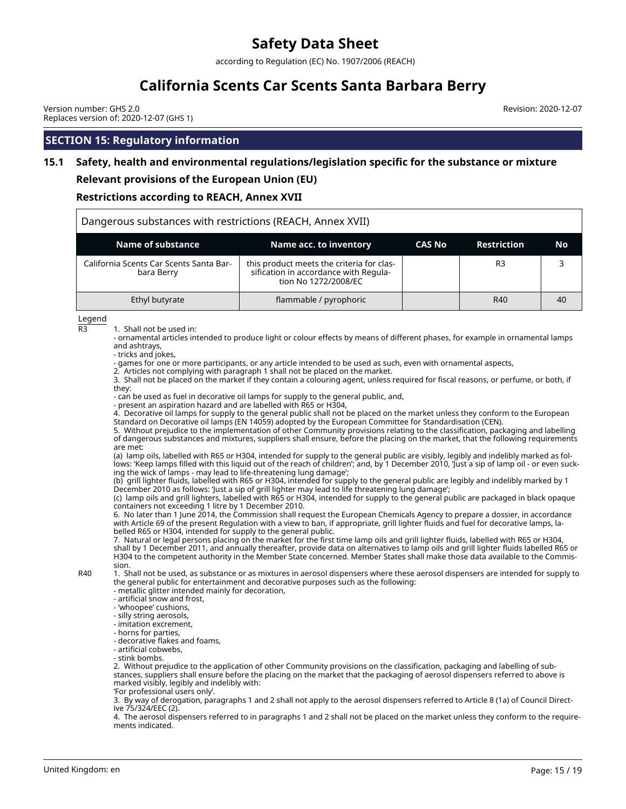according to Regulation (EC) No. 1907/2006 (REACH)

# **California Scents Car Scents Santa Barbara Berry**

Version number: GHS 2.0 Replaces version of: 2020-12-07 (GHS 1) Revision: 2020-12-07

### **SECTION 15: Regulatory information**

# **15.1 Safety, health and environmental regulations/legislation specific for the substance or mixture**

#### **Relevant provisions of the European Union (EU)**

#### **Restrictions according to REACH, Annex XVII**

| Dangerous substances with restrictions (REACH, Annex XVII) |                                                                                                            |               |                    |    |
|------------------------------------------------------------|------------------------------------------------------------------------------------------------------------|---------------|--------------------|----|
| Name of substance                                          | Name acc. to inventory                                                                                     | <b>CAS No</b> | <b>Restriction</b> | No |
| California Scents Car Scents Santa Bar-<br>bara Berry      | this product meets the criteria for clas-<br>sification in accordance with Regula-<br>tion No 1272/2008/EC |               | R <sub>3</sub>     |    |
| Ethyl butyrate                                             | flammable / pyrophoric                                                                                     |               | R40                | 40 |

Legend

 $R3$  1. Shall not be used in:

- ornamental articles intended to produce light or colour effects by means of different phases, for example in ornamental lamps and ashtrays,

- tricks and jokes,

- games for one or more participants, or any article intended to be used as such, even with ornamental aspects,

2. Articles not complying with paragraph 1 shall not be placed on the market.

3. Shall not be placed on the market if they contain a colouring agent, unless required for fiscal reasons, or perfume, or both, if they:

- can be used as fuel in decorative oil lamps for supply to the general public, and,

- present an aspiration hazard and are labelled with R65 or H304,

4. Decorative oil lamps for supply to the general public shall not be placed on the market unless they conform to the European Standard on Decorative oil lamps (EN 14059) adopted by the European Committee for Standardisation (CEN).

5. Without prejudice to the implementation of other Community provisions relating to the classification, packaging and labelling of dangerous substances and mixtures, suppliers shall ensure, before the placing on the market, that the following requirements are met:

(a) lamp oils, labelled with R65 or H304, intended for supply to the general public are visibly, legibly and indelibly marked as follows: 'Keep lamps filled with this liquid out of the reach of children'; and, by 1 December 2010, 'Just a sip of lamp oil - or even sucking the wick of lamps - may lead to life-threatening lung damage';

(b) grill lighter fluids, labelled with R65 or H304, intended for supply to the general public are legibly and indelibly marked by 1 December 2010 as follows: 'Just a sip of grill lighter may lead to life threatening lung damage';

(c) lamp oils and grill lighters, labelled with R65 or H304, intended for supply to the general public are packaged in black opaque containers not exceeding 1 litre by 1 December 2010.

6. No later than 1 June 2014, the Commission shall request the European Chemicals Agency to prepare a dossier, in accordance with Article 69 of the present Regulation with a view to ban, if appropriate, grill lighter fluids and fuel for decorative lamps, labelled R65 or H304, intended for supply to the general public.

7. Natural or legal persons placing on the market for the first time lamp oils and grill lighter fluids, labelled with R65 or H304, shall by 1 December 2011, and annually thereafter, provide data on alternatives to lamp oils and grill lighter fluids labelled R65 or H304 to the competent authority in the Member State concerned. Member States shall make those data available to the Commission.

R40 1. Shall not be used, as substance or as mixtures in aerosol dispensers where these aerosol dispensers are intended for supply to the general public for entertainment and decorative purposes such as the following:

- metallic glitter intended mainly for decoration,
- artificial snow and frost,
- 'whoopee' cushions,
- silly string aerosols,
- imitation excrement,
- horns for parties,
- decorative flakes and foams,
- artificial cobwebs,
- stink bombs.

2. Without prejudice to the application of other Community provisions on the classification, packaging and labelling of substances, suppliers shall ensure before the placing on the market that the packaging of aerosol dispensers referred to above is marked visibly, legibly and indelibly with:

'For professional users only'.

3. By way of derogation, paragraphs 1 and 2 shall not apply to the aerosol dispensers referred to Article 8 (1a) of Council Directive 75/324/EEC (2).

4. The aerosol dispensers referred to in paragraphs 1 and 2 shall not be placed on the market unless they conform to the requirements indicated.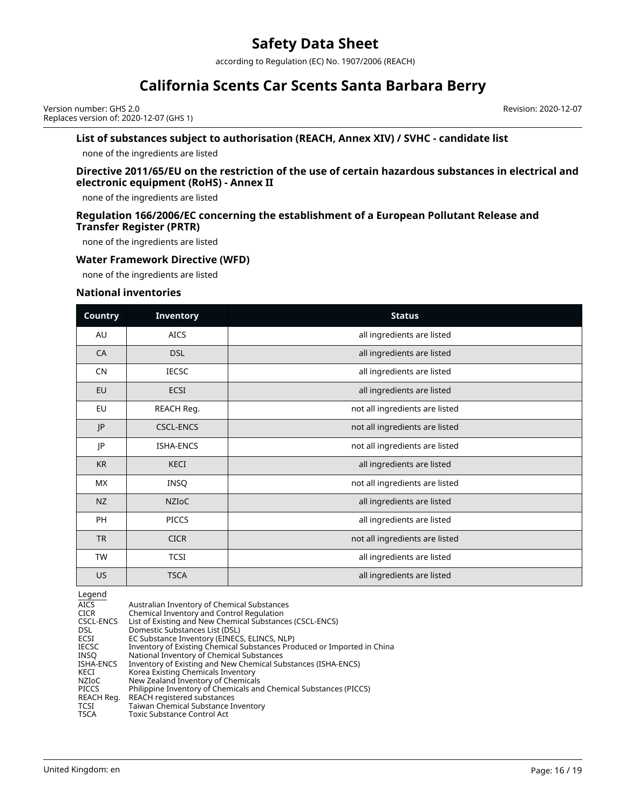according to Regulation (EC) No. 1907/2006 (REACH)

# **California Scents Car Scents Santa Barbara Berry**

Version number: GHS 2.0 Replaces version of: 2020-12-07 (GHS 1) Revision: 2020-12-07

#### **List of substances subject to authorisation (REACH, Annex XIV) / SVHC - candidate list**

none of the ingredients are listed

#### **Directive 2011/65/EU on the restriction of the use of certain hazardous substances in electrical and electronic equipment (RoHS) - Annex II**

none of the ingredients are listed

#### **Regulation 166/2006/EC concerning the establishment of a European Pollutant Release and Transfer Register (PRTR)**

none of the ingredients are listed

#### **Water Framework Directive (WFD)**

none of the ingredients are listed

#### **National inventories**

| <b>Country</b> | <b>Inventory</b> | <b>Status</b>                  |
|----------------|------------------|--------------------------------|
| AU             | <b>AICS</b>      | all ingredients are listed     |
| CA             | <b>DSL</b>       | all ingredients are listed     |
| <b>CN</b>      | <b>IECSC</b>     | all ingredients are listed     |
| EU             | <b>ECSI</b>      | all ingredients are listed     |
| EU             | REACH Reg.       | not all ingredients are listed |
| JP             | <b>CSCL-ENCS</b> | not all ingredients are listed |
| JP             | ISHA-ENCS        | not all ingredients are listed |
| <b>KR</b>      | KECI             | all ingredients are listed     |
| MX             | INSQ             | not all ingredients are listed |
| <b>NZ</b>      | <b>NZIOC</b>     | all ingredients are listed     |
| PH             | <b>PICCS</b>     | all ingredients are listed     |
| <b>TR</b>      | <b>CICR</b>      | not all ingredients are listed |
| <b>TW</b>      | <b>TCSI</b>      | all ingredients are listed     |
| US.            | <b>TSCA</b>      | all ingredients are listed     |

Legend<br>AICS AICS Australian Inventory of Chemical Substances<br>CICR Chemical Inventory and Control Regulation CICR Chemical Inventory and Control Regulation CSCL-ENCS List of Existing and New Chemical Substances (CSCL-ENCS) DSL Domestic Substances List (DSL)<br>ECSI EC Substance Inventory (EINECS ECSI EC Substance Inventory (EINECS, ELINCS, NLP)<br>IECSC Inventory of Existing Chemical Substances Pro IECSC Inventory of Existing Chemical Substances Produced or Imported in China<br>INSQ National Inventory of Chemical Substances INSQ National Inventory of Chemical Substances<br>ISHA-ENCS Inventory of Existing and New Chemical Sub ISHA-ENCS Inventory of Existing and New Chemical Substances (ISHA-ENCS) KECI Korea Existing Chemicals Inventory NZIoC New Zealand Inventory of Chemicals PICCS Philippine Inventory of Chemicals and Chemical Substances (PICCS) REACH Reg. REACH registered substances<br>TCSI Taiwan Chemical Substance Ir TCSI Taiwan Chemical Substance Inventory<br>
TSCA Toxic Substance Control Act Toxic Substance Control Act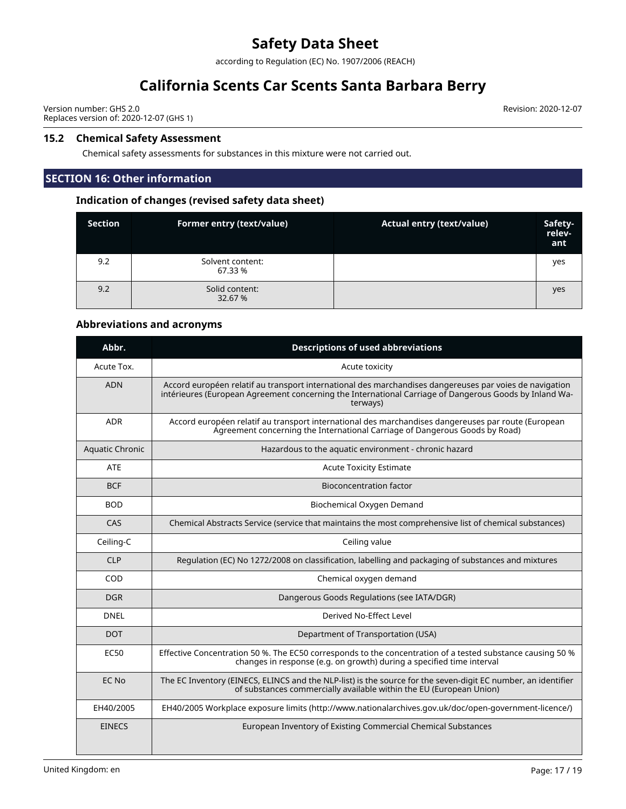according to Regulation (EC) No. 1907/2006 (REACH)

# **California Scents Car Scents Santa Barbara Berry**

Version number: GHS 2.0 Replaces version of: 2020-12-07 (GHS 1)

#### **15.2 Chemical Safety Assessment**

Chemical safety assessments for substances in this mixture were not carried out.

## **SECTION 16: Other information**

### **Indication of changes (revised safety data sheet)**

| <b>Section</b> | Former entry (text/value)   | <b>Actual entry (text/value)</b> | Safety-<br>relev-<br>ant |
|----------------|-----------------------------|----------------------------------|--------------------------|
| 9.2            | Solvent content:<br>67.33 % |                                  | yes                      |
| 9.2            | Solid content:<br>32.67 %   |                                  | yes                      |

### **Abbreviations and acronyms**

| Abbr.                  | <b>Descriptions of used abbreviations</b>                                                                                                                                                                                     |
|------------------------|-------------------------------------------------------------------------------------------------------------------------------------------------------------------------------------------------------------------------------|
| Acute Tox.             | Acute toxicity                                                                                                                                                                                                                |
| <b>ADN</b>             | Accord européen relatif au transport international des marchandises dangereuses par voies de navigation<br>intérieures (European Agreement concerning the International Carriage of Dangerous Goods by Inland Wa-<br>terways) |
| <b>ADR</b>             | Accord européen relatif au transport international des marchandises dangereuses par route (European<br>Agreement concerning the International Carriage of Dangerous Goods by Road)                                            |
| <b>Aquatic Chronic</b> | Hazardous to the aquatic environment - chronic hazard                                                                                                                                                                         |
| ATE                    | <b>Acute Toxicity Estimate</b>                                                                                                                                                                                                |
| <b>BCF</b>             | <b>Bioconcentration factor</b>                                                                                                                                                                                                |
| <b>BOD</b>             | Biochemical Oxygen Demand                                                                                                                                                                                                     |
| CAS                    | Chemical Abstracts Service (service that maintains the most comprehensive list of chemical substances)                                                                                                                        |
| Ceiling-C              | Ceiling value                                                                                                                                                                                                                 |
| <b>CLP</b>             | Regulation (EC) No 1272/2008 on classification, labelling and packaging of substances and mixtures                                                                                                                            |
| COD                    | Chemical oxygen demand                                                                                                                                                                                                        |
| <b>DGR</b>             | Dangerous Goods Regulations (see IATA/DGR)                                                                                                                                                                                    |
| <b>DNEL</b>            | Derived No-Effect Level                                                                                                                                                                                                       |
| <b>DOT</b>             | Department of Transportation (USA)                                                                                                                                                                                            |
| EC50                   | Effective Concentration 50 %. The EC50 corresponds to the concentration of a tested substance causing 50 %<br>changes in response (e.g. on growth) during a specified time interval                                           |
| EC No                  | The EC Inventory (EINECS, ELINCS and the NLP-list) is the source for the seven-digit EC number, an identifier<br>of substances commercially available within the EU (European Union)                                          |
| EH40/2005              | EH40/2005 Workplace exposure limits (http://www.nationalarchives.gov.uk/doc/open-government-licence/)                                                                                                                         |
| <b>EINECS</b>          | European Inventory of Existing Commercial Chemical Substances                                                                                                                                                                 |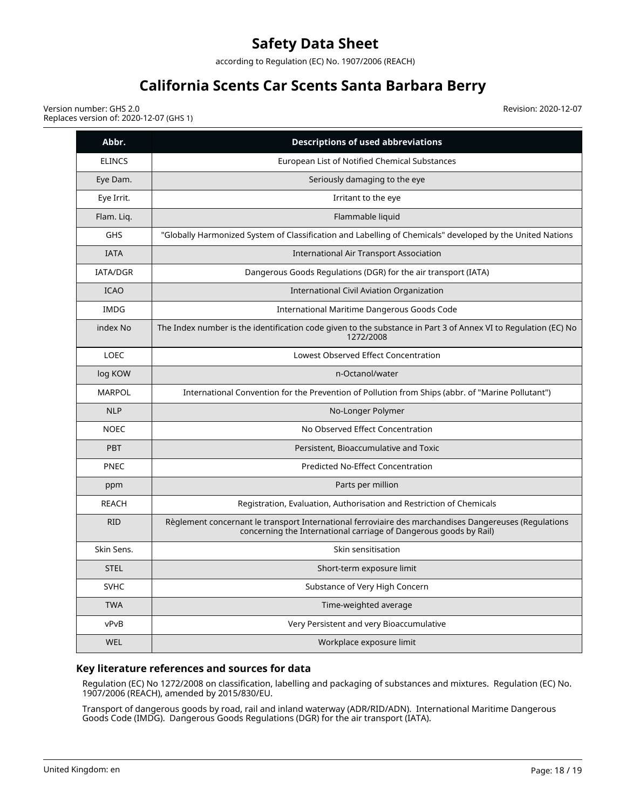according to Regulation (EC) No. 1907/2006 (REACH)

# **California Scents Car Scents Santa Barbara Berry**

Version number: GHS 2.0 Replaces version of: 2020-12-07 (GHS 1) Revision: 2020-12-07

| Abbr.           | <b>Descriptions of used abbreviations</b>                                                                                                                                  |
|-----------------|----------------------------------------------------------------------------------------------------------------------------------------------------------------------------|
| <b>ELINCS</b>   | European List of Notified Chemical Substances                                                                                                                              |
| Eye Dam.        | Seriously damaging to the eye                                                                                                                                              |
| Eye Irrit.      | Irritant to the eye                                                                                                                                                        |
| Flam. Lig.      | Flammable liquid                                                                                                                                                           |
| <b>GHS</b>      | "Globally Harmonized System of Classification and Labelling of Chemicals" developed by the United Nations                                                                  |
| <b>IATA</b>     | <b>International Air Transport Association</b>                                                                                                                             |
| <b>IATA/DGR</b> | Dangerous Goods Regulations (DGR) for the air transport (IATA)                                                                                                             |
| <b>ICAO</b>     | International Civil Aviation Organization                                                                                                                                  |
| <b>IMDG</b>     | International Maritime Dangerous Goods Code                                                                                                                                |
| index No        | The Index number is the identification code given to the substance in Part 3 of Annex VI to Regulation (EC) No<br>1272/2008                                                |
| <b>LOEC</b>     | Lowest Observed Effect Concentration                                                                                                                                       |
| log KOW         | n-Octanol/water                                                                                                                                                            |
| <b>MARPOL</b>   | International Convention for the Prevention of Pollution from Ships (abbr. of "Marine Pollutant")                                                                          |
| <b>NLP</b>      | No-Longer Polymer                                                                                                                                                          |
| <b>NOEC</b>     | No Observed Effect Concentration                                                                                                                                           |
| <b>PBT</b>      | Persistent, Bioaccumulative and Toxic                                                                                                                                      |
| <b>PNEC</b>     | <b>Predicted No-Effect Concentration</b>                                                                                                                                   |
| ppm             | Parts per million                                                                                                                                                          |
| <b>REACH</b>    | Registration, Evaluation, Authorisation and Restriction of Chemicals                                                                                                       |
| <b>RID</b>      | Règlement concernant le transport International ferroviaire des marchandises Dangereuses (Regulations<br>concerning the International carriage of Dangerous goods by Rail) |
| Skin Sens.      | Skin sensitisation                                                                                                                                                         |
| <b>STEL</b>     | Short-term exposure limit                                                                                                                                                  |
| <b>SVHC</b>     | Substance of Very High Concern                                                                                                                                             |
| <b>TWA</b>      | Time-weighted average                                                                                                                                                      |
| vPvB            | Very Persistent and very Bioaccumulative                                                                                                                                   |
| <b>WEL</b>      | Workplace exposure limit                                                                                                                                                   |

### **Key literature references and sources for data**

Regulation (EC) No 1272/2008 on classification, labelling and packaging of substances and mixtures. Regulation (EC) No. 1907/2006 (REACH), amended by 2015/830/EU.

Transport of dangerous goods by road, rail and inland waterway (ADR/RID/ADN). International Maritime Dangerous Goods Code (IMDG). Dangerous Goods Regulations (DGR) for the air transport (IATA).